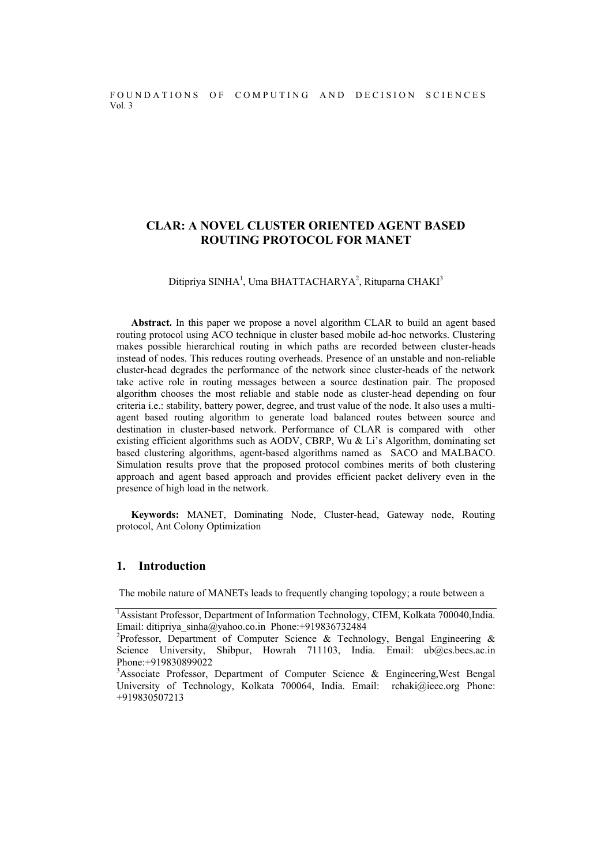FOUNDATIONS OF COMPUTING AND DECISION SCIENCES Vol. 3

# **CLAR: A NOVEL CLUSTER ORIENTED AGENT BASED ROUTING PROTOCOL FOR MANET**

## Ditipriya SINHA<sup>1</sup>, Uma BHATTACHARYA<sup>2</sup>, Rituparna CHAKI<sup>3</sup>

**Abstract.** In this paper we propose a novel algorithm CLAR to build an agent based routing protocol using ACO technique in cluster based mobile ad-hoc networks. Clustering makes possible hierarchical routing in which paths are recorded between cluster-heads instead of nodes. This reduces routing overheads. Presence of an unstable and non-reliable cluster-head degrades the performance of the network since cluster-heads of the network take active role in routing messages between a source destination pair. The proposed algorithm chooses the most reliable and stable node as cluster-head depending on four criteria i.e.: stability, battery power, degree, and trust value of the node. It also uses a multiagent based routing algorithm to generate load balanced routes between source and destination in cluster-based network. Performance of CLAR is compared with other existing efficient algorithms such as AODV, CBRP, Wu & Li's Algorithm, dominating set based clustering algorithms, agent-based algorithms named as SACO and MALBACO. Simulation results prove that the proposed protocol combines merits of both clustering approach and agent based approach and provides efficient packet delivery even in the presence of high load in the network.

**Keywords:** MANET, Dominating Node, Cluster-head, Gateway node, Routing protocol, Ant Colony Optimization

# **1. Introduction**

The mobile nature of MANETs leads to frequently changing topology; a route between a

<sup>1</sup>Assistant Professor, Department of Information Technology, CIEM, Kolkata 700040,India. Email: ditipriya\_sinha@yahoo.co.in Phone:+919836732484

<sup>&</sup>lt;sup>2</sup>Professor, Department of Computer Science & Technology, Bengal Engineering & Science University, Shibpur, Howrah 711103, India. Email: ub@cs.becs.ac.in Phone:+919830899022

<sup>3</sup>Associate Professor, Department of Computer Science & Engineering,West Bengal University of Technology, Kolkata 700064, India. Email: rchaki@ieee.org Phone: +919830507213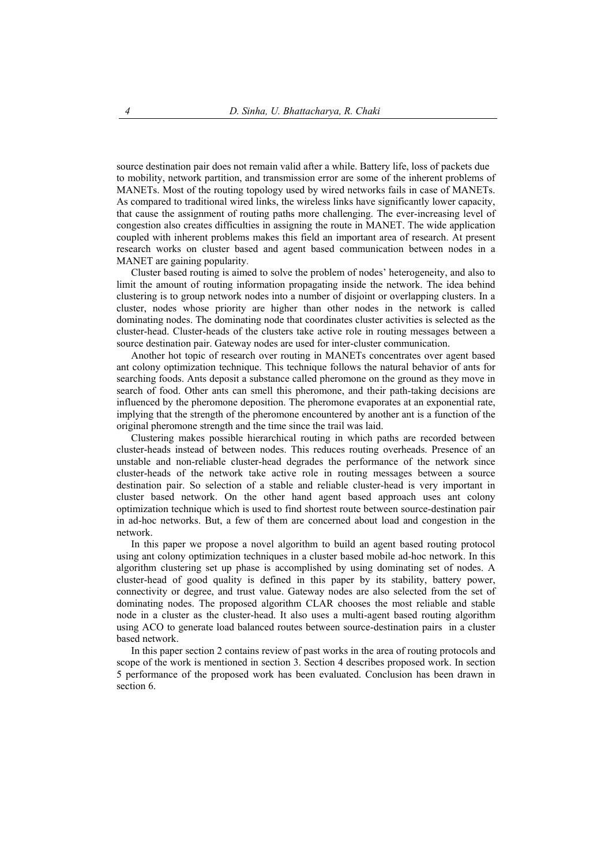source destination pair does not remain valid after a while. Battery life, loss of packets due to mobility, network partition, and transmission error are some of the inherent problems of MANETs. Most of the routing topology used by wired networks fails in case of MANETs. As compared to traditional wired links, the wireless links have significantly lower capacity, that cause the assignment of routing paths more challenging. The ever-increasing level of congestion also creates difficulties in assigning the route in MANET. The wide application coupled with inherent problems makes this field an important area of research. At present research works on cluster based and agent based communication between nodes in a MANET are gaining popularity.

Cluster based routing is aimed to solve the problem of nodes' heterogeneity, and also to limit the amount of routing information propagating inside the network. The idea behind clustering is to group network nodes into a number of disjoint or overlapping clusters. In a cluster, nodes whose priority are higher than other nodes in the network is called dominating nodes. The dominating node that coordinates cluster activities is selected as the cluster-head. Cluster-heads of the clusters take active role in routing messages between a source destination pair. Gateway nodes are used for inter-cluster communication.

Another hot topic of research over routing in MANETs concentrates over agent based ant colony optimization technique. This technique follows the natural behavior of ants for searching foods. Ants deposit a substance called pheromone on the ground as they move in search of food. Other ants can smell this pheromone, and their path-taking decisions are influenced by the pheromone deposition. The pheromone evaporates at an exponential rate, implying that the strength of the pheromone encountered by another ant is a function of the original pheromone strength and the time since the trail was laid.

Clustering makes possible hierarchical routing in which paths are recorded between cluster-heads instead of between nodes. This reduces routing overheads. Presence of an unstable and non-reliable cluster-head degrades the performance of the network since cluster-heads of the network take active role in routing messages between a source destination pair. So selection of a stable and reliable cluster-head is very important in cluster based network. On the other hand agent based approach uses ant colony optimization technique which is used to find shortest route between source-destination pair in ad-hoc networks. But, a few of them are concerned about load and congestion in the network.

In this paper we propose a novel algorithm to build an agent based routing protocol using ant colony optimization techniques in a cluster based mobile ad-hoc network. In this algorithm clustering set up phase is accomplished by using dominating set of nodes. A cluster-head of good quality is defined in this paper by its stability, battery power, connectivity or degree, and trust value. Gateway nodes are also selected from the set of dominating nodes. The proposed algorithm CLAR chooses the most reliable and stable node in a cluster as the cluster-head. It also uses a multi-agent based routing algorithm using ACO to generate load balanced routes between source-destination pairs in a cluster based network.

In this paper section 2 contains review of past works in the area of routing protocols and scope of the work is mentioned in section 3. Section 4 describes proposed work. In section 5 performance of the proposed work has been evaluated. Conclusion has been drawn in section 6.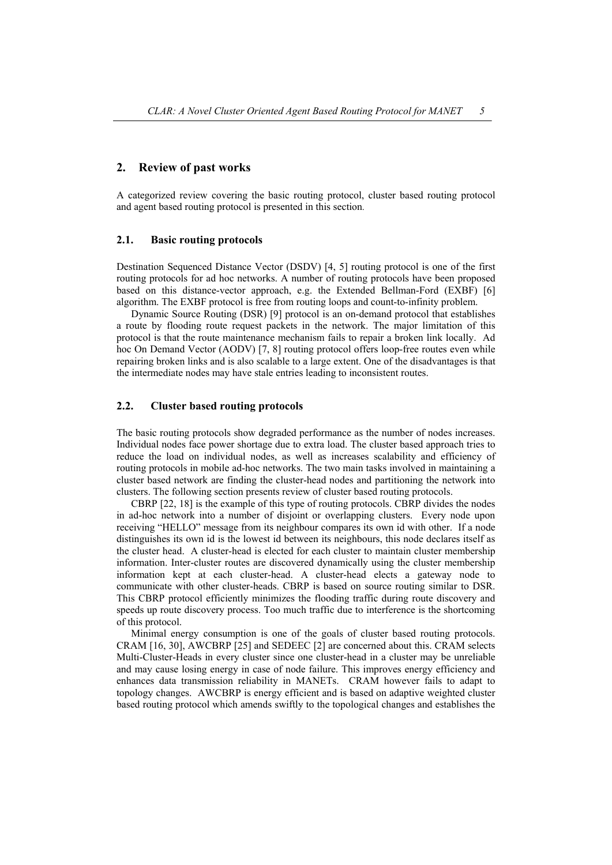## **2. Review of past works**

A categorized review covering the basic routing protocol, cluster based routing protocol and agent based routing protocol is presented in this section.

## **2.1. Basic routing protocols**

Destination Sequenced Distance Vector (DSDV) [4, 5] routing protocol is one of the first routing protocols for ad hoc networks. A number of routing protocols have been proposed based on this distance-vector approach, e.g. the Extended Bellman-Ford (EXBF) [6] algorithm. The EXBF protocol is free from routing loops and count-to-infinity problem.

Dynamic Source Routing (DSR) [9] protocol is an on-demand protocol that establishes a route by flooding route request packets in the network. The major limitation of this protocol is that the route maintenance mechanism fails to repair a broken link locally. Ad hoc On Demand Vector (AODV) [7, 8] routing protocol offers loop-free routes even while repairing broken links and is also scalable to a large extent. One of the disadvantages is that the intermediate nodes may have stale entries leading to inconsistent routes.

## **2.2. Cluster based routing protocols**

The basic routing protocols show degraded performance as the number of nodes increases. Individual nodes face power shortage due to extra load. The cluster based approach tries to reduce the load on individual nodes, as well as increases scalability and efficiency of routing protocols in mobile ad-hoc networks. The two main tasks involved in maintaining a cluster based network are finding the cluster-head nodes and partitioning the network into clusters. The following section presents review of cluster based routing protocols.

CBRP [22, 18] is the example of this type of routing protocols. CBRP divides the nodes in ad-hoc network into a number of disjoint or overlapping clusters. Every node upon receiving "HELLO" message from its neighbour compares its own id with other. If a node distinguishes its own id is the lowest id between its neighbours, this node declares itself as the cluster head. A cluster-head is elected for each cluster to maintain cluster membership information. Inter-cluster routes are discovered dynamically using the cluster membership information kept at each cluster-head. A cluster-head elects a gateway node to communicate with other cluster-heads. CBRP is based on source routing similar to DSR. This CBRP protocol efficiently minimizes the flooding traffic during route discovery and speeds up route discovery process. Too much traffic due to interference is the shortcoming of this protocol.

Minimal energy consumption is one of the goals of cluster based routing protocols. CRAM [16, 30], AWCBRP [25] and SEDEEC [2] are concerned about this. CRAM selects Multi-Cluster-Heads in every cluster since one cluster-head in a cluster may be unreliable and may cause losing energy in case of node failure. This improves energy efficiency and enhances data transmission reliability in MANETs. CRAM however fails to adapt to topology changes. AWCBRP is energy efficient and is based on adaptive weighted cluster based routing protocol which amends swiftly to the topological changes and establishes the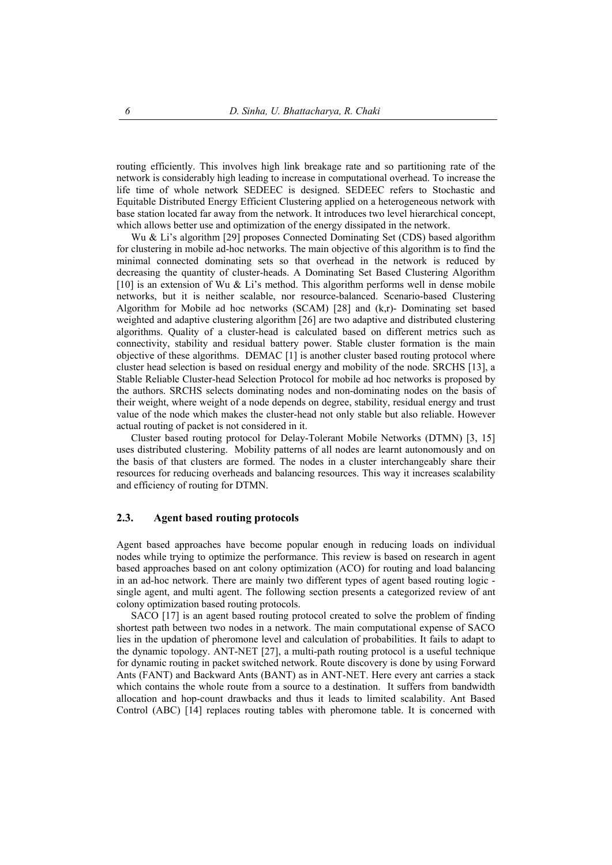routing efficiently. This involves high link breakage rate and so partitioning rate of the network is considerably high leading to increase in computational overhead. To increase the life time of whole network SEDEEC is designed. SEDEEC refers to Stochastic and Equitable Distributed Energy Efficient Clustering applied on a heterogeneous network with base station located far away from the network. It introduces two level hierarchical concept, which allows better use and optimization of the energy dissipated in the network.

Wu & Li's algorithm [29] proposes Connected Dominating Set (CDS) based algorithm for clustering in mobile ad-hoc networks. The main objective of this algorithm is to find the minimal connected dominating sets so that overhead in the network is reduced by decreasing the quantity of cluster-heads. A Dominating Set Based Clustering Algorithm [10] is an extension of Wu  $&$  Li's method. This algorithm performs well in dense mobile networks, but it is neither scalable, nor resource-balanced. Scenario-based Clustering Algorithm for Mobile ad hoc networks (SCAM) [28] and (k,r)- Dominating set based weighted and adaptive clustering algorithm [26] are two adaptive and distributed clustering algorithms. Quality of a cluster-head is calculated based on different metrics such as connectivity, stability and residual battery power. Stable cluster formation is the main objective of these algorithms. DEMAC [1] is another cluster based routing protocol where cluster head selection is based on residual energy and mobility of the node. SRCHS [13], a Stable Reliable Cluster-head Selection Protocol for mobile ad hoc networks is proposed by the authors. SRCHS selects dominating nodes and non-dominating nodes on the basis of their weight, where weight of a node depends on degree, stability, residual energy and trust value of the node which makes the cluster-head not only stable but also reliable. However actual routing of packet is not considered in it.

Cluster based routing protocol for Delay-Tolerant Mobile Networks (DTMN) [3, 15] uses distributed clustering. Mobility patterns of all nodes are learnt autonomously and on the basis of that clusters are formed. The nodes in a cluster interchangeably share their resources for reducing overheads and balancing resources. This way it increases scalability and efficiency of routing for DTMN.

## **2.3. Agent based routing protocols**

Agent based approaches have become popular enough in reducing loads on individual nodes while trying to optimize the performance. This review is based on research in agent based approaches based on ant colony optimization (ACO) for routing and load balancing in an ad-hoc network. There are mainly two different types of agent based routing logic single agent, and multi agent. The following section presents a categorized review of ant colony optimization based routing protocols.

SACO [17] is an agent based routing protocol created to solve the problem of finding shortest path between two nodes in a network. The main computational expense of SACO lies in the updation of pheromone level and calculation of probabilities. It fails to adapt to the dynamic topology. ANT-NET [27], a multi-path routing protocol is a useful technique for dynamic routing in packet switched network. Route discovery is done by using Forward Ants (FANT) and Backward Ants (BANT) as in ANT-NET. Here every ant carries a stack which contains the whole route from a source to a destination. It suffers from bandwidth allocation and hop-count drawbacks and thus it leads to limited scalability. Ant Based Control (ABC) [14] replaces routing tables with pheromone table. It is concerned with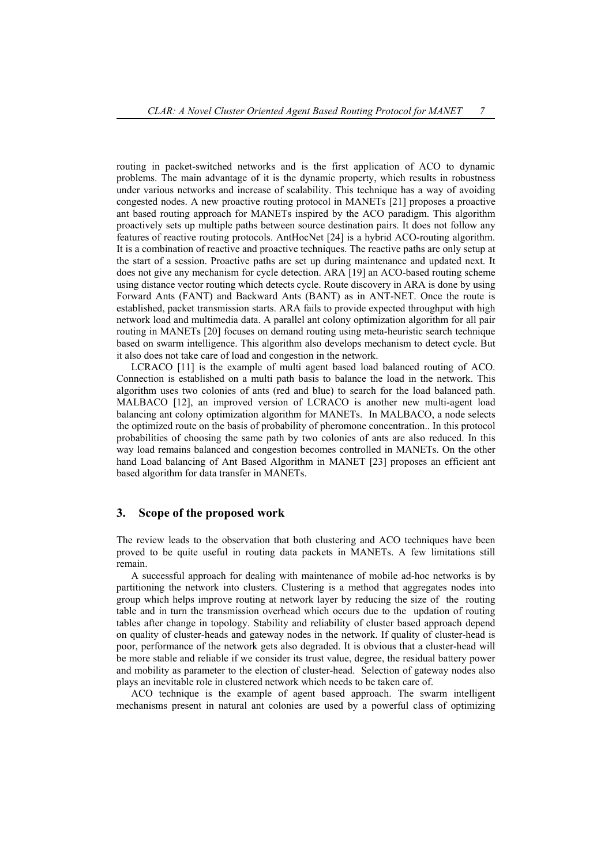routing in packet-switched networks and is the first application of ACO to dynamic problems. The main advantage of it is the dynamic property, which results in robustness under various networks and increase of scalability. This technique has a way of avoiding congested nodes. A new proactive routing protocol in MANETs [21] proposes a proactive ant based routing approach for MANETs inspired by the ACO paradigm. This algorithm proactively sets up multiple paths between source destination pairs. It does not follow any features of reactive routing protocols. AntHocNet [24] is a hybrid ACO-routing algorithm. It is a combination of reactive and proactive techniques. The reactive paths are only setup at the start of a session. Proactive paths are set up during maintenance and updated next. It does not give any mechanism for cycle detection. ARA [19] an ACO-based routing scheme using distance vector routing which detects cycle. Route discovery in ARA is done by using Forward Ants (FANT) and Backward Ants (BANT) as in ANT-NET. Once the route is established, packet transmission starts. ARA fails to provide expected throughput with high network load and multimedia data. A parallel ant colony optimization algorithm for all pair routing in MANETs [20] focuses on demand routing using meta-heuristic search technique based on swarm intelligence. This algorithm also develops mechanism to detect cycle. But it also does not take care of load and congestion in the network.

LCRACO [11] is the example of multi agent based load balanced routing of ACO. Connection is established on a multi path basis to balance the load in the network. This algorithm uses two colonies of ants (red and blue) to search for the load balanced path. MALBACO [12], an improved version of LCRACO is another new multi-agent load balancing ant colony optimization algorithm for MANETs. In MALBACO, a node selects the optimized route on the basis of probability of pheromone concentration.. In this protocol probabilities of choosing the same path by two colonies of ants are also reduced. In this way load remains balanced and congestion becomes controlled in MANETs. On the other hand Load balancing of Ant Based Algorithm in MANET [23] proposes an efficient ant based algorithm for data transfer in MANETs.

## **3. Scope of the proposed work**

The review leads to the observation that both clustering and ACO techniques have been proved to be quite useful in routing data packets in MANETs. A few limitations still remain.

A successful approach for dealing with maintenance of mobile ad-hoc networks is by partitioning the network into clusters. Clustering is a method that aggregates nodes into group which helps improve routing at network layer by reducing the size of the routing table and in turn the transmission overhead which occurs due to the updation of routing tables after change in topology. Stability and reliability of cluster based approach depend on quality of cluster-heads and gateway nodes in the network. If quality of cluster-head is poor, performance of the network gets also degraded. It is obvious that a cluster-head will be more stable and reliable if we consider its trust value, degree, the residual battery power and mobility as parameter to the election of cluster-head. Selection of gateway nodes also plays an inevitable role in clustered network which needs to be taken care of.

ACO technique is the example of agent based approach. The swarm intelligent mechanisms present in natural ant colonies are used by a powerful class of optimizing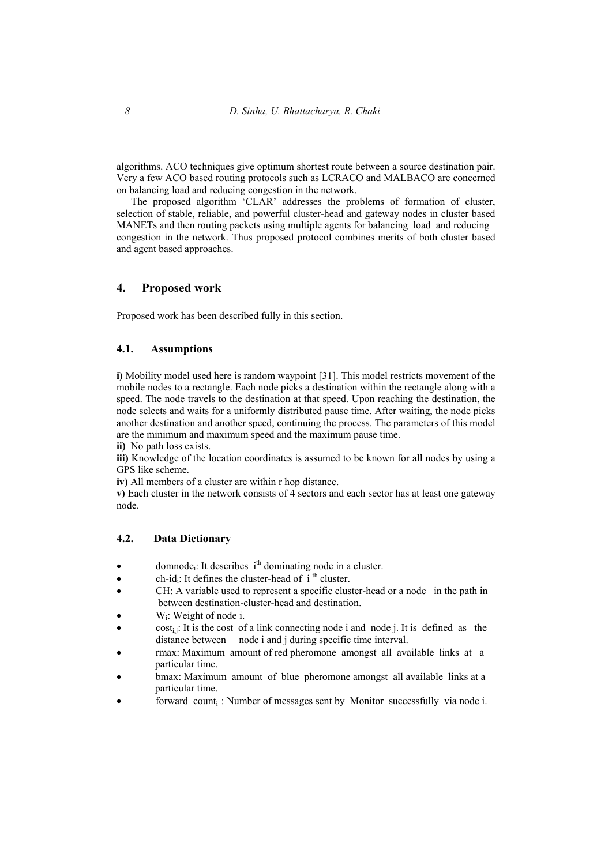algorithms. ACO techniques give optimum shortest route between a source destination pair. Very a few ACO based routing protocols such as LCRACO and MALBACO are concerned on balancing load and reducing congestion in the network.

The proposed algorithm 'CLAR' addresses the problems of formation of cluster, selection of stable, reliable, and powerful cluster-head and gateway nodes in cluster based MANETs and then routing packets using multiple agents for balancing load and reducing congestion in the network. Thus proposed protocol combines merits of both cluster based and agent based approaches.

## **4. Proposed work**

Proposed work has been described fully in this section.

## **4.1. Assumptions**

**i)** Mobility model used here is random waypoint [31]. This model restricts movement of the mobile nodes to a rectangle. Each node picks a destination within the rectangle along with a speed. The node travels to the destination at that speed. Upon reaching the destination, the node selects and waits for a uniformly distributed pause time. After waiting, the node picks another destination and another speed, continuing the process. The parameters of this model are the minimum and maximum speed and the maximum pause time.

**ii)** No path loss exists.

**iii)** Knowledge of the location coordinates is assumed to be known for all nodes by using a GPS like scheme.

**iv)** All members of a cluster are within r hop distance.

**v)** Each cluster in the network consists of 4 sectors and each sector has at least one gateway node.

## **4.2. Data Dictionary**

- $\bullet$  domnode<sub>i</sub>: It describes i<sup>th</sup> dominating node in a cluster.
- ch-id<sub>i</sub>: It defines the cluster-head of  $i<sup>th</sup>$  cluster.
- CH: A variable used to represent a specific cluster-head or a node in the path in between destination-cluster-head and destination.
- $\bullet$  W<sub>i</sub>: Weight of node i.
- $cost_{i,i}$ : It is the cost of a link connecting node i and node j. It is defined as the distance between node i and i during specific time interval.
- rmax: Maximum amount of red pheromone amongst all available links at a particular time.
- bmax: Maximum amount of blue pheromone amongst all available links at a particular time.
- forward count<sub>i</sub>: Number of messages sent by Monitor successfully via node i.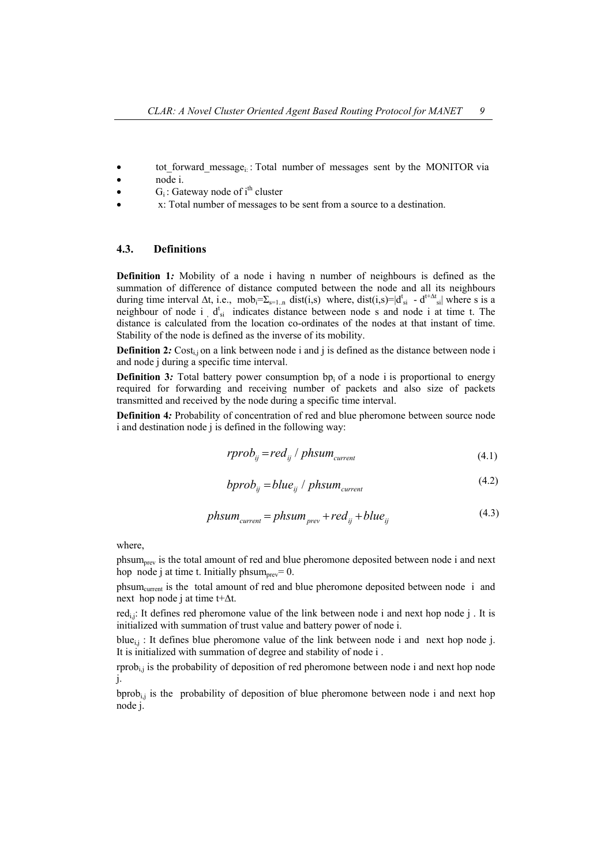- tot forward message; : Total number of messages sent by the MONITOR via
- node i.
- $G_i$ : Gateway node of i<sup>th</sup> cluster
- x: Total number of messages to be sent from a source to a destination.

## **4.3. Definitions**

**Definition 1***:* Mobility of a node i having n number of neighbours is defined as the summation of difference of distance computed between the node and all its neighbours during time interval  $\Delta t$ , i.e., mob<sub>i</sub>= $\Sigma_{s=1,n}$  dist(i,s) where, dist(i,s)=|d<sup>t</sup><sub>si</sub> - d<sup>t+ $\Delta t$ </sup>si| where s is a neighbour of node  $i$ ,  $d_{si}^{t}$  indicates distance between node s and node i at time t. The distance is calculated from the location co-ordinates of the nodes at that instant of time. Stability of the node is defined as the inverse of its mobility.

**Definition 2:** Cost<sub>i,j</sub> on a link between node i and j is defined as the distance between node i and node j during a specific time interval.

**Definition 3:** Total battery power consumption bp<sub>i</sub> of a node i is proportional to energy required for forwarding and receiving number of packets and also size of packets transmitted and received by the node during a specific time interval.

**Definition 4:** Probability of concentration of red and blue pheromone between source node i and destination node j is defined in the following way:

$$
rprob_{ij} = red_{ij} / phsum_{current}
$$
\n(4.1)

$$
bprob_{ij} = blue_{ij} / phsum_{current}
$$
\n(4.2)

$$
phsum_{current} = phsum_{prev} + red_{ij} + blue_{ij}
$$
\n(4.3)

where,

phsumprev is the total amount of red and blue pheromone deposited between node i and next hop node j at time t. Initially phsum<sub>prev</sub>= 0.

phsum<sub>current</sub> is the total amount of red and blue pheromone deposited between node i and next hop node j at time t+∆t.

red<sub>i</sub>; It defines red pheromone value of the link between node i and next hop node j. It is initialized with summation of trust value and battery power of node i.

blue<sub>i</sub>; It defines blue pheromone value of the link between node i and next hop node j. It is initialized with summation of degree and stability of node i .

 $rprob_{ij}$  is the probability of deposition of red pheromone between node i and next hop node j.

bprob<sub>i,j</sub> is the probability of deposition of blue pheromone between node i and next hop node j.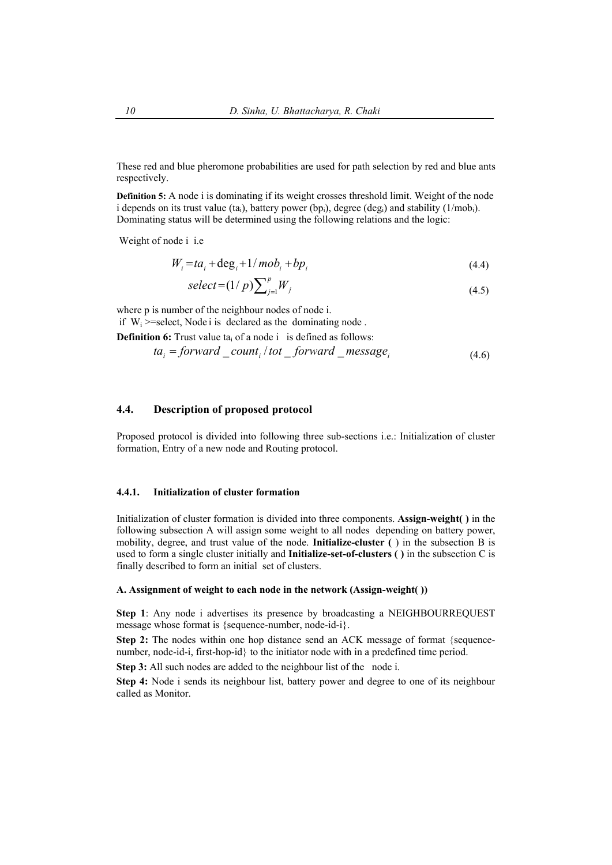These red and blue pheromone probabilities are used for path selection by red and blue ants respectively.

**Definition 5:** A node i is dominating if its weight crosses threshold limit. Weight of the node i depends on its trust value (ta<sub>i</sub>), battery power (bp<sub>i</sub>), degree (deg<sub>i</sub>) and stability (1/mob<sub>i</sub>). Dominating status will be determined using the following relations and the logic:

Weight of node i i.e

$$
W_i = ta_i + \deg_i + 1/mob_i + bp_i
$$
\n
$$
(4.4)
$$

$$
select = (1/p)\sum_{j=1}^{p} W_j \tag{4.5}
$$

where p is number of the neighbour nodes of node i. if  $W_i$  >=select, Node i is declared as the dominating node.

**Definition 6:** Trust value ta<sub>i</sub> of a node i is defined as follows:

$$
ta_i = forward\_count_i / tot\_forward\_message_i
$$
\n(4.6)

### **4.4. Description of proposed protocol**

Proposed protocol is divided into following three sub-sections i.e.: Initialization of cluster formation, Entry of a new node and Routing protocol.

## **4.4.1. Initialization of cluster formation**

Initialization of cluster formation is divided into three components. **Assign-weight( )** in the following subsection A will assign some weight to all nodes depending on battery power, mobility, degree, and trust value of the node. **Initialize-cluster (** ) in the subsection B is used to form a single cluster initially and **Initialize-set-of-clusters ( )** in the subsection C is finally described to form an initial set of clusters.

#### **A. Assignment of weight to each node in the network (Assign-weight( ))**

**Step 1**: Any node i advertises its presence by broadcasting a NEIGHBOURREQUEST message whose format is {sequence-number, node-id-i}.

**Step 2:** The nodes within one hop distance send an ACK message of format {sequencenumber, node-id-i, first-hop-id} to the initiator node with in a predefined time period.

**Step 3:** All such nodes are added to the neighbour list of the node i.

**Step 4:** Node i sends its neighbour list, battery power and degree to one of its neighbour called as Monitor.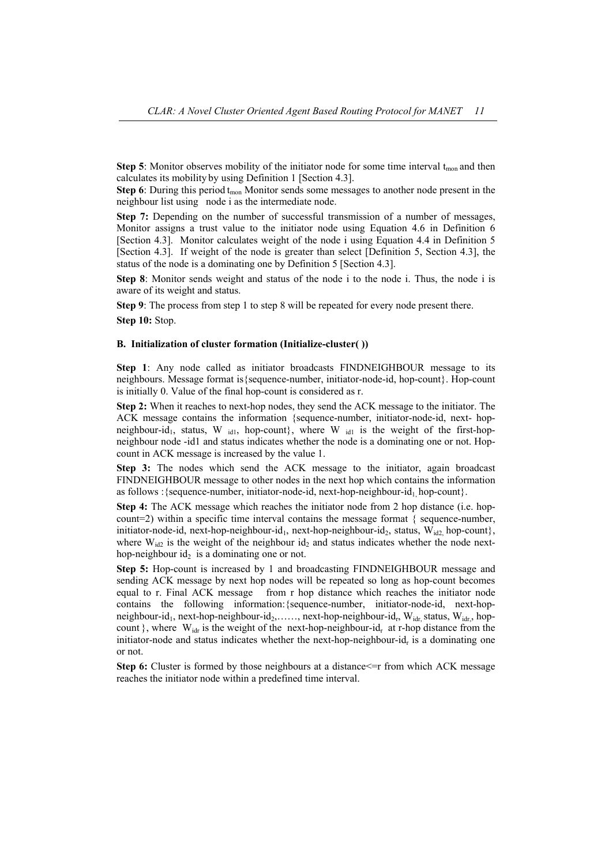**Step 5**: Monitor observes mobility of the initiator node for some time interval  $t_{\text{mon}}$  and then calculates its mobility by using Definition 1 [Section 4.3].

**Step 6**: During this period t<sub>mon</sub> Monitor sends some messages to another node present in the neighbour list using node i as the intermediate node.

**Step 7:** Depending on the number of successful transmission of a number of messages, Monitor assigns a trust value to the initiator node using Equation 4.6 in Definition 6 [Section 4.3]. Monitor calculates weight of the node i using Equation 4.4 in Definition 5 [Section 4.3]. If weight of the node is greater than select [Definition 5, Section 4.3], the status of the node is a dominating one by Definition 5 [Section 4.3].

**Step 8**: Monitor sends weight and status of the node i to the node i. Thus, the node i is aware of its weight and status.

**Step 9**: The process from step 1 to step 8 will be repeated for every node present there.

**Step 10:** Stop.

## **B. Initialization of cluster formation (Initialize-cluster( ))**

**Step 1**: Any node called as initiator broadcasts FINDNEIGHBOUR message to its neighbours. Message format is{sequence-number, initiator-node-id, hop-count}. Hop-count is initially 0. Value of the final hop-count is considered as r.

**Step 2:** When it reaches to next-hop nodes, they send the ACK message to the initiator. The ACK message contains the information {sequence-number, initiator-node-id, next- hopneighbour-id<sub>1</sub>, status, W  $_{\text{id}1}$ , hop-count}, where W  $_{\text{id}1}$  is the weight of the first-hopneighbour node -id1 and status indicates whether the node is a dominating one or not. Hopcount in ACK message is increased by the value 1.

**Step 3:** The nodes which send the ACK message to the initiator, again broadcast FINDNEIGHBOUR message to other nodes in the next hop which contains the information as follows : {sequence-number, initiator-node-id, next-hop-neighbour-id<sub>1</sub> hop-count}.

**Step 4:** The ACK message which reaches the initiator node from 2 hop distance (i.e. hopcount=2) within a specific time interval contains the message format  $\{$  sequence-number, initiator-node-id, next-hop-neighbour-id<sub>1</sub>, next-hop-neighbour-id<sub>2</sub>, status,  $W_{id2}$  hop-count}, where  $W_{id2}$  is the weight of the neighbour id<sub>2</sub> and status indicates whether the node nexthop-neighbour  $id_2$  is a dominating one or not.

**Step 5:** Hop-count is increased by 1 and broadcasting FINDNEIGHBOUR message and sending ACK message by next hop nodes will be repeated so long as hop-count becomes equal to r. Final ACK message from r hop distance which reaches the initiator node contains the following information:{sequence-number, initiator-node-id, next-hopneighbour-id<sub>1</sub>, next-hop-neighbour-id<sub>2</sub>,......, next-hop-neighbour-id<sub>r</sub>, W<sub>idr,</sub> status, W<sub>idr,</sub>, hopcount }, where  $W_{\text{idx}}$  is the weight of the next-hop-neighbour-id<sub>r</sub> at r-hop distance from the initiator-node and status indicates whether the next-hop-neighbour- $id_r$  is a dominating one or not.

**Step 6:** Cluster is formed by those neighbours at a distance  $\leq$  from which ACK message reaches the initiator node within a predefined time interval.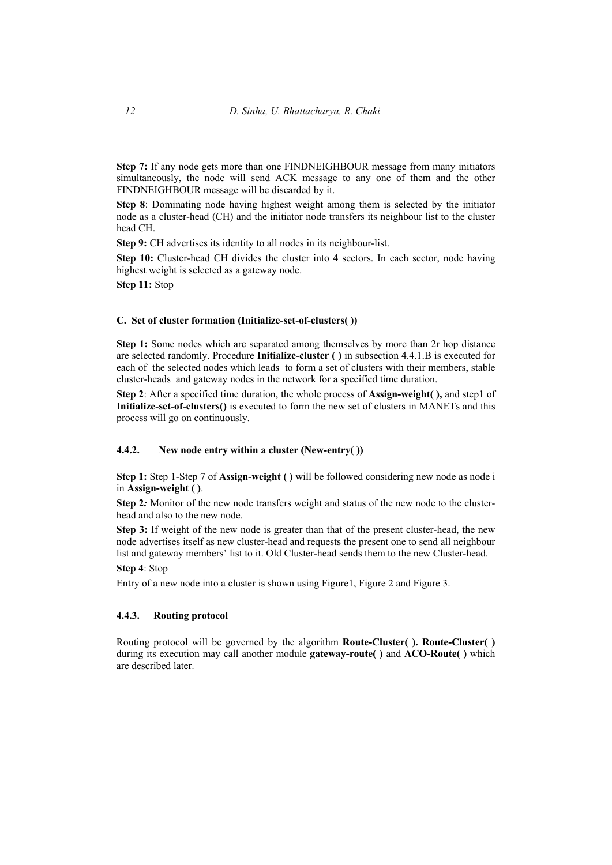**Step 7:** If any node gets more than one FINDNEIGHBOUR message from many initiators simultaneously, the node will send ACK message to any one of them and the other FINDNEIGHBOUR message will be discarded by it.

**Step 8**: Dominating node having highest weight among them is selected by the initiator node as a cluster-head (CH) and the initiator node transfers its neighbour list to the cluster head CH.

**Step 9:** CH advertises its identity to all nodes in its neighbour-list.

**Step 10:** Cluster-head CH divides the cluster into 4 sectors. In each sector, node having highest weight is selected as a gateway node.

**Step 11:** Stop

#### **C. Set of cluster formation (Initialize-set-of-clusters( ))**

**Step 1:** Some nodes which are separated among themselves by more than 2r hop distance are selected randomly. Procedure **Initialize-cluster ( )** in subsection 4.4.1.B is executed for each of the selected nodes which leads to form a set of clusters with their members, stable cluster-heads and gateway nodes in the network for a specified time duration.

**Step 2**: After a specified time duration, the whole process of **Assign-weight( ),** and step1 of **Initialize-set-of-clusters()** is executed to form the new set of clusters in MANETs and this process will go on continuously.

### **4.4.2. New node entry within a cluster (New-entry( ))**

**Step 1:** Step 1-Step 7 of **Assign-weight ( )** will be followed considering new node as node i in **Assign-weight ( )**.

**Step 2***:* Monitor of the new node transfers weight and status of the new node to the clusterhead and also to the new node.

**Step 3:** If weight of the new node is greater than that of the present cluster-head, the new node advertises itself as new cluster-head and requests the present one to send all neighbour list and gateway members' list to it. Old Cluster-head sends them to the new Cluster-head.

#### **Step 4**: Stop

Entry of a new node into a cluster is shown using Figure1, Figure 2 and Figure 3.

#### **4.4.3. Routing protocol**

Routing protocol will be governed by the algorithm **Route-Cluster( ). Route-Cluster( )** during its execution may call another module **gateway-route( )** and **ACO-Route( )** which are described later.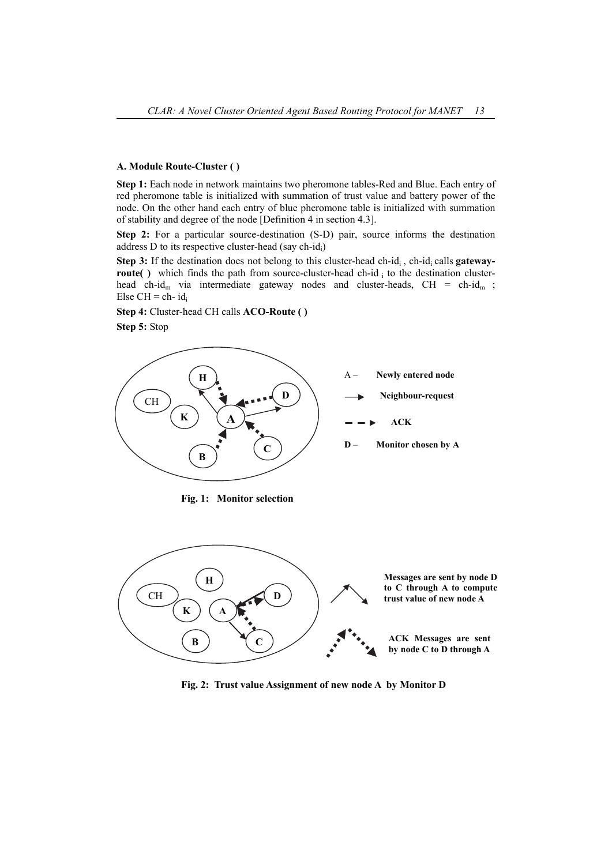### **A. Module Route-Cluster ( )**

**Step 1:** Each node in network maintains two pheromone tables-Red and Blue. Each entry of red pheromone table is initialized with summation of trust value and battery power of the node. On the other hand each entry of blue pheromone table is initialized with summation of stability and degree of the node [Definition 4 in section 4.3].

**Step 2:** For a particular source-destination (S-D) pair, source informs the destination address  $D$  to its respective cluster-head (say ch-id<sub>i</sub>)

**Step 3:** If the destination does not belong to this cluster-head ch-id<sub>i</sub>, ch-id<sub>i</sub> calls **gatewayroute()** which finds the path from source-cluster-head ch-id i to the destination clusterhead ch-id<sub>m</sub> via intermediate gateway nodes and cluster-heads, CH = ch-id<sub>m</sub> ; Else CH = ch-  $id_i$ 

**Step 4:** Cluster-head CH calls **ACO-Route ( )**

**Step 5:** Stop



**D**

**Fig. 1: Monitor selection** 

**H** 

**K** 

CH

**A** 

**B C**



**ACK Messages are sent by node C to D through A**

**Fig. 2: Trust value Assignment of new node A by Monitor D**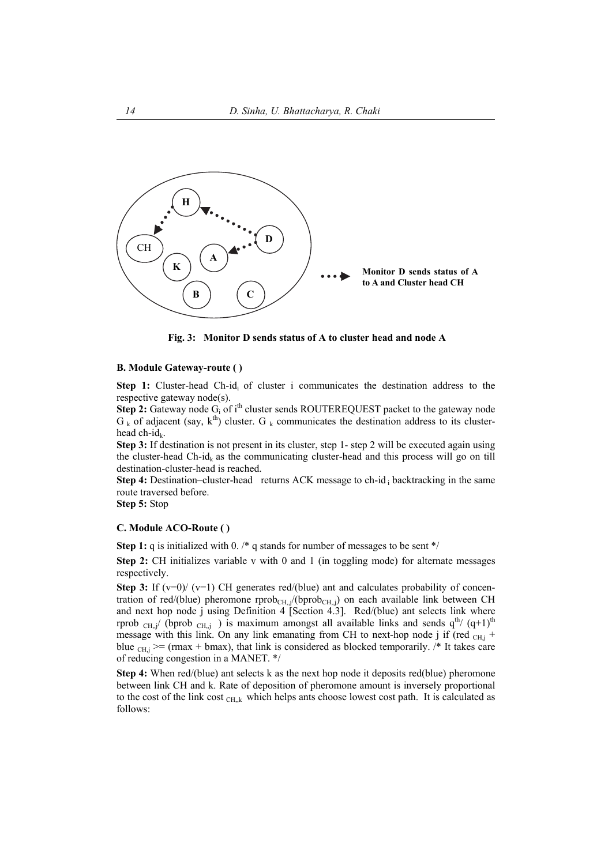

 **Fig. 3: Monitor D sends status of A to cluster head and node A** 

#### **B. Module Gateway-route ( )**

**Step 1:** Cluster-head Ch-id<sub>i</sub> of cluster i communicates the destination address to the respective gateway node(s).

**Step 2:** Gateway node  $G_i$  of i<sup>th</sup> cluster sends ROUTEREQUEST packet to the gateway node  $G_k$  of adjacent (say,  $k^{th}$ ) cluster. G<sub>k</sub> communicates the destination address to its clusterhead  $ch-id_k$ .

**Step 3:** If destination is not present in its cluster, step 1- step 2 will be executed again using the cluster-head Ch-id<sub>k</sub> as the communicating cluster-head and this process will go on till destination-cluster-head is reached.

**Step 4:** Destination–cluster-head returns ACK message to ch-id, backtracking in the same route traversed before.

**Step 5:** Stop

#### **C. Module ACO-Route ( )**

**Step 1:** q is initialized with 0. /\* q stands for number of messages to be sent \*/

**Step 2:** CH initializes variable v with 0 and 1 (in toggling mode) for alternate messages respectively.

**Step 3:** If  $(v=0) / (v=1)$  CH generates red/(blue) ant and calculates probability of concentration of red/(blue) pheromone rprob<sub>CH,j</sub>/(bprob<sub>CH,j</sub>) on each available link between CH and next hop node j using Definition 4 [Section 4.3]. Red/(blue) ant selects link where rprob <sub>CH,j</sub>/ (bprob <sub>CH,j</sub>) is maximum amongst all available links and sends q<sup>th</sup>/ (q+1)<sup>th</sup> message with this link. On any link emanating from CH to next-hop node j if (red  $_{\text{CH,i}}$  + blue  $_{\text{CH,i}}$  >= (rmax + bmax), that link is considered as blocked temporarily. /\* It takes care of reducing congestion in a MANET. \*/

**Step 4:** When red/(blue) ant selects k as the next hop node it deposits red(blue) pheromone between link CH and k. Rate of deposition of pheromone amount is inversely proportional to the cost of the link cost  $_{\text{CH},k}$  which helps ants choose lowest cost path. It is calculated as follows: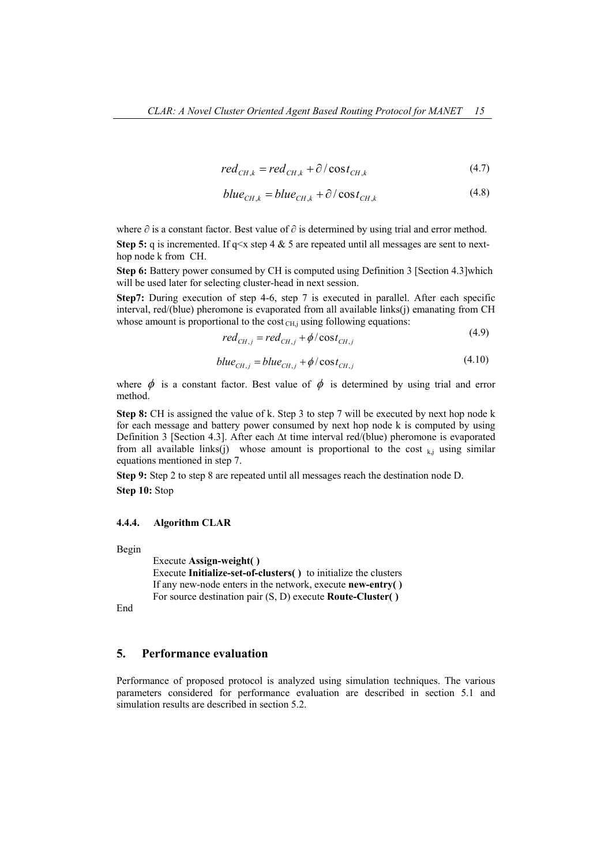$$
red_{CH,k} = red_{CH,k} + \partial / \cos t_{CH,k}
$$
\n(4.7)

$$
blue_{CH,k} = blue_{CH,k} + \partial / \cos t_{CH,k}
$$
\n(4.8)

where  $\partial$  is a constant factor. Best value of  $\partial$  is determined by using trial and error method. **Step 5:** q is incremented. If  $q \le x$  step 4 & 5 are repeated until all messages are sent to nexthop node k from CH.

**Step 6:** Battery power consumed by CH is computed using Definition 3 [Section 4.3]which will be used later for selecting cluster-head in next session.

**Step7:** During execution of step 4-6, step 7 is executed in parallel. After each specific interval, red/(blue) pheromone is evaporated from all available links(j) emanating from CH whose amount is proportional to the  $cost_{\text{CH,i}}$  using following equations:  $(4.9)$ 

$$
red_{CH,j} = red_{CH,j} + \phi / \cos t_{CH,j}
$$
\n<sup>(4.9)</sup>

$$
blue_{CH,j} = blue_{CH,j} + \phi / \cos t_{CH,j}
$$
\n(4.10)

where  $\phi$  is a constant factor. Best value of  $\phi$  is determined by using trial and error method.

**Step 8:** CH is assigned the value of k. Step 3 to step 7 will be executed by next hop node k for each message and battery power consumed by next hop node k is computed by using Definition 3 [Section 4.3]. After each ∆t time interval red/(blue) pheromone is evaporated from all available links(j) whose amount is proportional to the cost  $_{k,j}$  using similar equations mentioned in step 7.

**Step 9:** Step 2 to step 8 are repeated until all messages reach the destination node D.

**Step 10:** Stop

#### **4.4.4. Algorithm CLAR**

Begin

Execute **Assign-weight( )** Execute **Initialize-set-of-clusters( )** to initialize the clusters If any new-node enters in the network, execute **new-entry( )** For source destination pair (S, D) execute **Route-Cluster( )**

End

## **5. Performance evaluation**

Performance of proposed protocol is analyzed using simulation techniques. The various parameters considered for performance evaluation are described in section 5.1 and simulation results are described in section 5.2.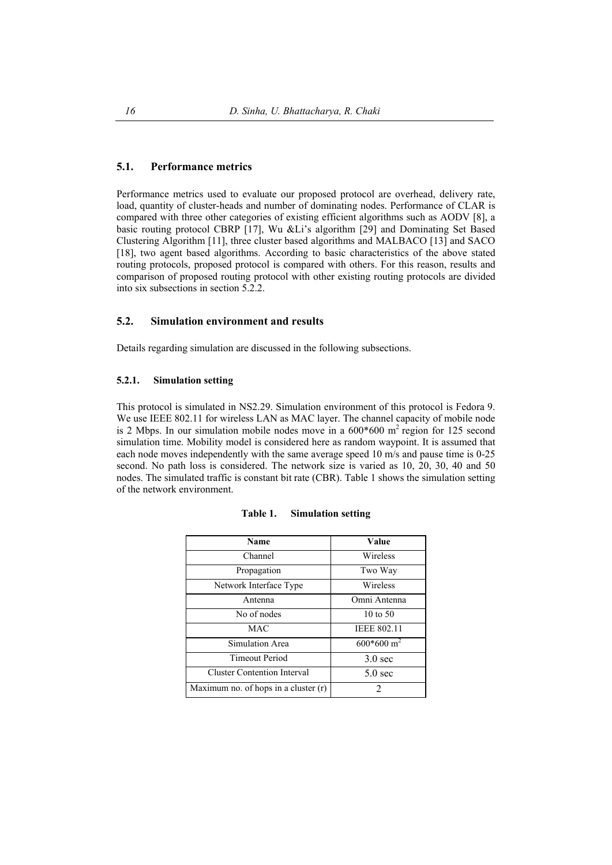## **5.1. Performance metrics**

Performance metrics used to evaluate our proposed protocol are overhead, delivery rate, load, quantity of cluster-heads and number of dominating nodes. Performance of CLAR is compared with three other categories of existing efficient algorithms such as AODV [8], a basic routing protocol CBRP [17], Wu &Li's algorithm [29] and Dominating Set Based Clustering Algorithm [11], three cluster based algorithms and MALBACO [13] and SACO [18], two agent based algorithms. According to basic characteristics of the above stated routing protocols, proposed protocol is compared with others. For this reason, results and comparison of proposed routing protocol with other existing routing protocols are divided into six subsections in section 5.2.2.

## **5.2. Simulation environment and results**

Details regarding simulation are discussed in the following subsections.

## **5.2.1. Simulation setting**

This protocol is simulated in NS2.29. Simulation environment of this protocol is Fedora 9. We use IEEE 802.11 for wireless LAN as MAC layer. The channel capacity of mobile node is 2 Mbps. In our simulation mobile nodes move in a  $600*600$  m<sup>2</sup> region for 125 second simulation time. Mobility model is considered here as random waypoint. It is assumed that each node moves independently with the same average speed 10 m/s and pause time is 0-25 second. No path loss is considered. The network size is varied as 10, 20, 30, 40 and 50 nodes. The simulated traffic is constant bit rate (CBR). Table 1 shows the simulation setting of the network environment.

| Name                                 | Value                 |  |
|--------------------------------------|-----------------------|--|
| Channel                              | Wireless              |  |
| Propagation                          | Two Way               |  |
| Network Interface Type               | Wireless              |  |
| Antenna                              | Omni Antenna          |  |
| No of nodes                          | $10 \text{ to } 50$   |  |
| <b>MAC</b>                           | <b>IEEE 802.11</b>    |  |
| Simulation Area                      | $600*600 \text{ m}^2$ |  |
| <b>Timeout Period</b>                | $3.0$ sec             |  |
| <b>Cluster Contention Interval</b>   | $5.0$ sec             |  |
| Maximum no. of hops in a cluster (r) | 2                     |  |

| Table 1. | <b>Simulation setting</b> |  |
|----------|---------------------------|--|
|----------|---------------------------|--|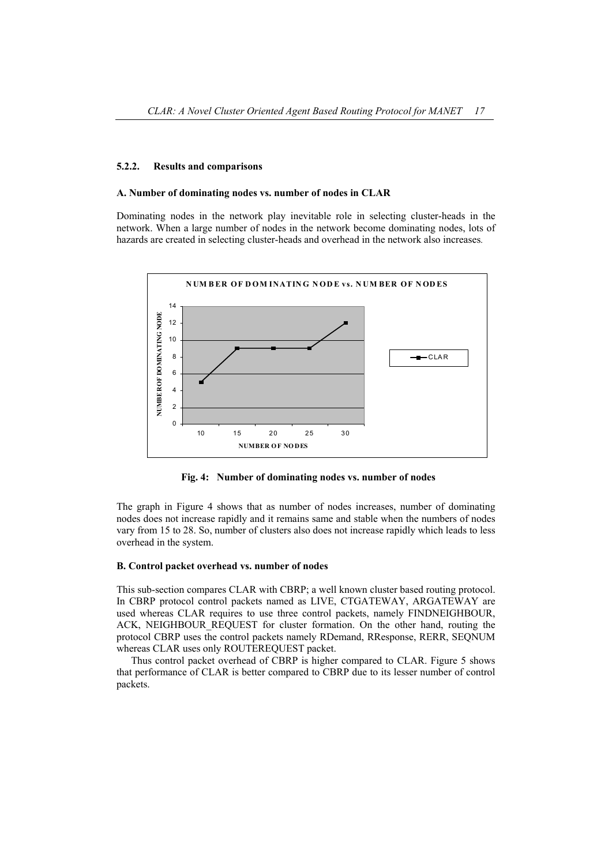## **5.2.2. Results and comparisons**

### **A. Number of dominating nodes vs. number of nodes in CLAR**

Dominating nodes in the network play inevitable role in selecting cluster-heads in the network. When a large number of nodes in the network become dominating nodes, lots of hazards are created in selecting cluster-heads and overhead in the network also increases.



**Fig. 4: Number of dominating nodes vs. number of nodes** 

The graph in Figure 4 shows that as number of nodes increases, number of dominating nodes does not increase rapidly and it remains same and stable when the numbers of nodes vary from 15 to 28. So, number of clusters also does not increase rapidly which leads to less overhead in the system.

### **B. Control packet overhead vs. number of nodes**

This sub-section compares CLAR with CBRP; a well known cluster based routing protocol. In CBRP protocol control packets named as LIVE, CTGATEWAY, ARGATEWAY are used whereas CLAR requires to use three control packets, namely FINDNEIGHBOUR, ACK, NEIGHBOUR REQUEST for cluster formation. On the other hand, routing the protocol CBRP uses the control packets namely RDemand, RResponse, RERR, SEQNUM whereas CLAR uses only ROUTEREQUEST packet.

Thus control packet overhead of CBRP is higher compared to CLAR. Figure 5 shows that performance of CLAR is better compared to CBRP due to its lesser number of control packets.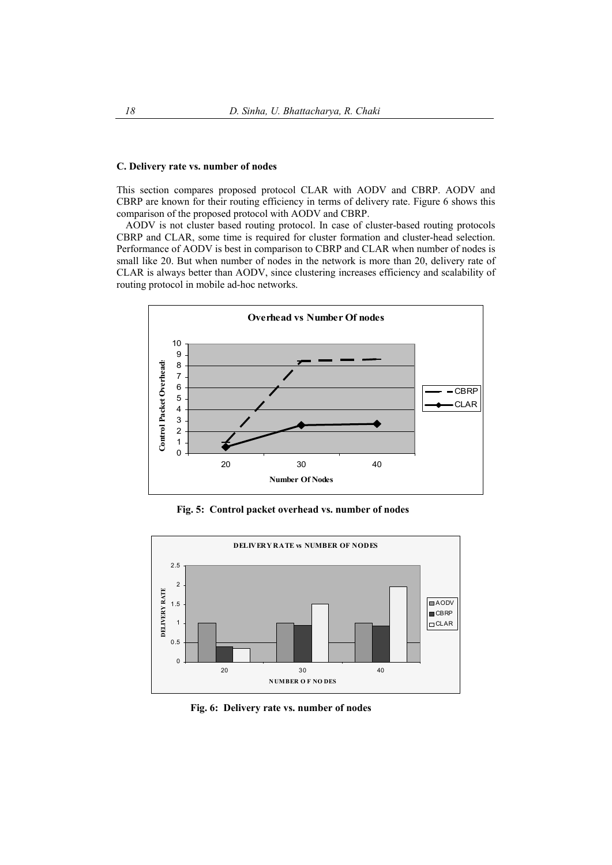#### **C. Delivery rate vs. number of nodes**

This section compares proposed protocol CLAR with AODV and CBRP. AODV and CBRP are known for their routing efficiency in terms of delivery rate. Figure 6 shows this comparison of the proposed protocol with AODV and CBRP.

 AODV is not cluster based routing protocol. In case of cluster-based routing protocols CBRP and CLAR, some time is required for cluster formation and cluster-head selection. Performance of AODV is best in comparison to CBRP and CLAR when number of nodes is small like 20. But when number of nodes in the network is more than 20, delivery rate of CLAR is always better than AODV, since clustering increases efficiency and scalability of routing protocol in mobile ad-hoc networks.



**Fig. 5: Control packet overhead vs. number of nodes** 



 **Fig. 6: Delivery rate vs. number of nodes**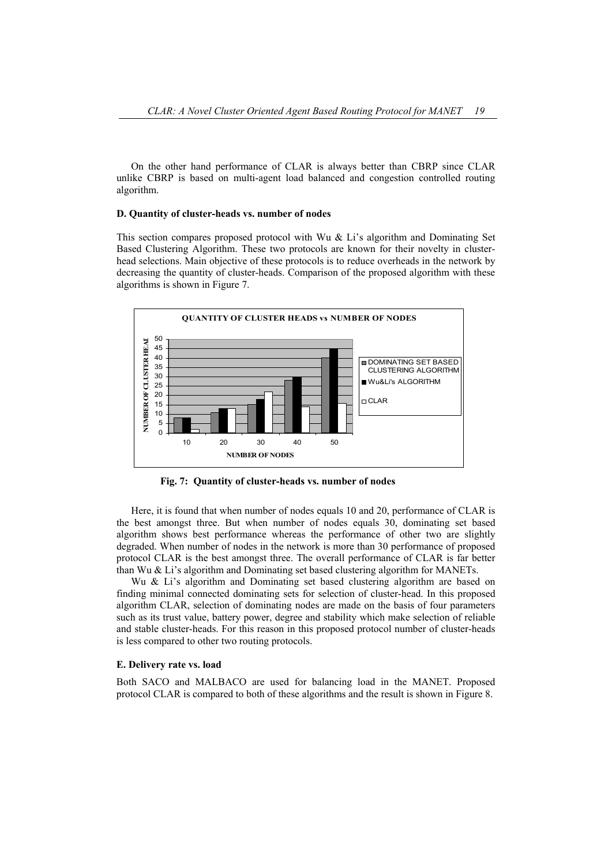On the other hand performance of CLAR is always better than CBRP since CLAR unlike CBRP is based on multi-agent load balanced and congestion controlled routing algorithm.

#### **D. Quantity of cluster-heads vs. number of nodes**

This section compares proposed protocol with Wu  $\&$  Li's algorithm and Dominating Set Based Clustering Algorithm. These two protocols are known for their novelty in clusterhead selections. Main objective of these protocols is to reduce overheads in the network by decreasing the quantity of cluster-heads. Comparison of the proposed algorithm with these algorithms is shown in Figure 7.



 **Fig. 7: Quantity of cluster-heads vs. number of nodes** 

Here, it is found that when number of nodes equals 10 and 20, performance of CLAR is the best amongst three. But when number of nodes equals 30, dominating set based algorithm shows best performance whereas the performance of other two are slightly degraded. When number of nodes in the network is more than 30 performance of proposed protocol CLAR is the best amongst three. The overall performance of CLAR is far better than Wu & Li's algorithm and Dominating set based clustering algorithm for MANETs.

Wu & Li's algorithm and Dominating set based clustering algorithm are based on finding minimal connected dominating sets for selection of cluster-head. In this proposed algorithm CLAR, selection of dominating nodes are made on the basis of four parameters such as its trust value, battery power, degree and stability which make selection of reliable and stable cluster-heads. For this reason in this proposed protocol number of cluster-heads is less compared to other two routing protocols.

### **E. Delivery rate vs. load**

Both SACO and MALBACO are used for balancing load in the MANET. Proposed protocol CLAR is compared to both of these algorithms and the result is shown in Figure 8.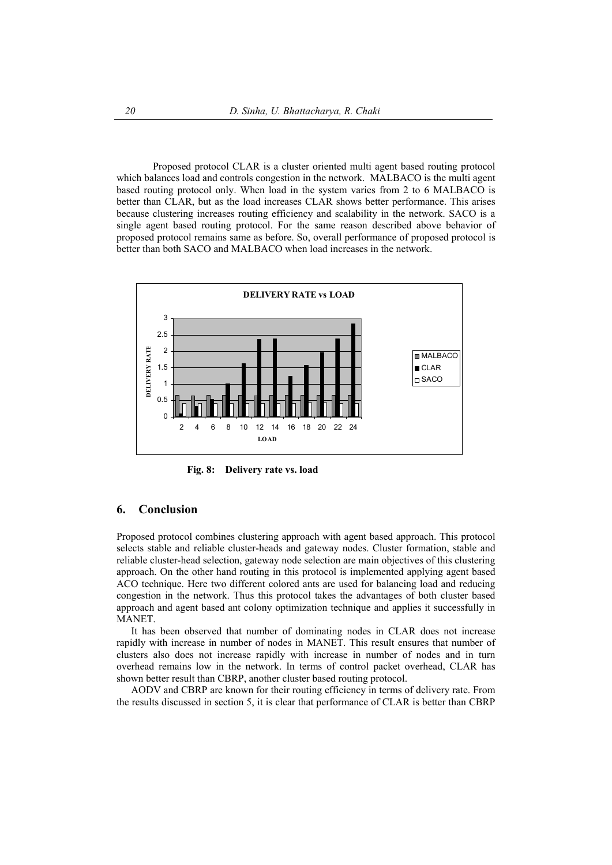Proposed protocol CLAR is a cluster oriented multi agent based routing protocol which balances load and controls congestion in the network. MALBACO is the multi agent based routing protocol only. When load in the system varies from 2 to 6 MALBACO is better than CLAR, but as the load increases CLAR shows better performance. This arises because clustering increases routing efficiency and scalability in the network. SACO is a single agent based routing protocol. For the same reason described above behavior of proposed protocol remains same as before. So, overall performance of proposed protocol is better than both SACO and MALBACO when load increases in the network.



 **Fig. 8: Delivery rate vs. load** 

## **6. Conclusion**

Proposed protocol combines clustering approach with agent based approach. This protocol selects stable and reliable cluster-heads and gateway nodes. Cluster formation, stable and reliable cluster-head selection, gateway node selection are main objectives of this clustering approach. On the other hand routing in this protocol is implemented applying agent based ACO technique. Here two different colored ants are used for balancing load and reducing congestion in the network. Thus this protocol takes the advantages of both cluster based approach and agent based ant colony optimization technique and applies it successfully in **MANET** 

It has been observed that number of dominating nodes in CLAR does not increase rapidly with increase in number of nodes in MANET. This result ensures that number of clusters also does not increase rapidly with increase in number of nodes and in turn overhead remains low in the network. In terms of control packet overhead, CLAR has shown better result than CBRP, another cluster based routing protocol.

AODV and CBRP are known for their routing efficiency in terms of delivery rate. From the results discussed in section 5, it is clear that performance of CLAR is better than CBRP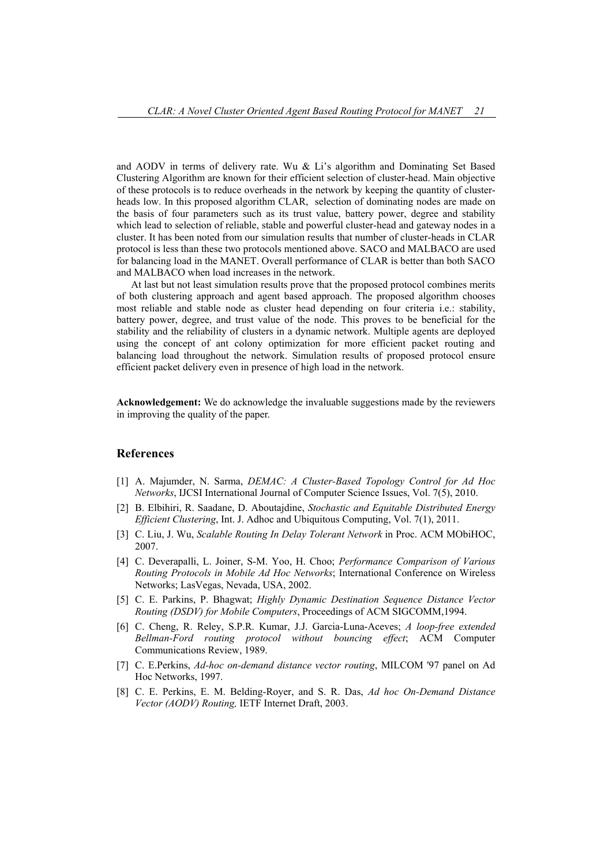and AODV in terms of delivery rate. Wu & Li's algorithm and Dominating Set Based Clustering Algorithm are known for their efficient selection of cluster-head. Main objective of these protocols is to reduce overheads in the network by keeping the quantity of clusterheads low. In this proposed algorithm CLAR, selection of dominating nodes are made on the basis of four parameters such as its trust value, battery power, degree and stability which lead to selection of reliable, stable and powerful cluster-head and gateway nodes in a cluster. It has been noted from our simulation results that number of cluster-heads in CLAR protocol is less than these two protocols mentioned above. SACO and MALBACO are used for balancing load in the MANET. Overall performance of CLAR is better than both SACO and MALBACO when load increases in the network.

At last but not least simulation results prove that the proposed protocol combines merits of both clustering approach and agent based approach. The proposed algorithm chooses most reliable and stable node as cluster head depending on four criteria i.e.: stability, battery power, degree, and trust value of the node. This proves to be beneficial for the stability and the reliability of clusters in a dynamic network. Multiple agents are deployed using the concept of ant colony optimization for more efficient packet routing and balancing load throughout the network. Simulation results of proposed protocol ensure efficient packet delivery even in presence of high load in the network.

**Acknowledgement:** We do acknowledge the invaluable suggestions made by the reviewers in improving the quality of the paper.

## **References**

- [1] A. Majumder, N. Sarma, *DEMAC: A Cluster-Based Topology Control for Ad Hoc Networks*, IJCSI International Journal of Computer Science Issues, Vol. 7(5), 2010.
- [2] B. Elbihiri, R. Saadane, D. Aboutajdine, *Stochastic and Equitable Distributed Energy Efficient Clustering*, Int. J. Adhoc and Ubiquitous Computing, Vol. 7(1), 2011.
- [3] C. Liu, J. Wu, *Scalable Routing In Delay Tolerant Network* in Proc. ACM MObiHOC, 2007.
- [4] C. Deverapalli, L. Joiner, S-M. Yoo, H. Choo; *Performance Comparison of Various Routing Protocols in Mobile Ad Hoc Networks*; International Conference on Wireless Networks; LasVegas, Nevada, USA, 2002.
- [5] C. E. Parkins, P. Bhagwat; *Highly Dynamic Destination Sequence Distance Vector Routing (DSDV) for Mobile Computers*, Proceedings of ACM SIGCOMM,1994.
- [6] C. Cheng, R. Reley, S.P.R. Kumar, J.J. Garcia-Luna-Aceves; *A loop-free extended Bellman-Ford routing protocol without bouncing effect*; ACM Computer Communications Review, 1989.
- [7] C. E.Perkins, *Ad-hoc on-demand distance vector routing*, MILCOM '97 panel on Ad Hoc Networks, 1997.
- [8] C. E. Perkins, E. M. Belding-Royer, and S. R. Das, *Ad hoc On-Demand Distance Vector (AODV) Routing,* IETF Internet Draft, 2003.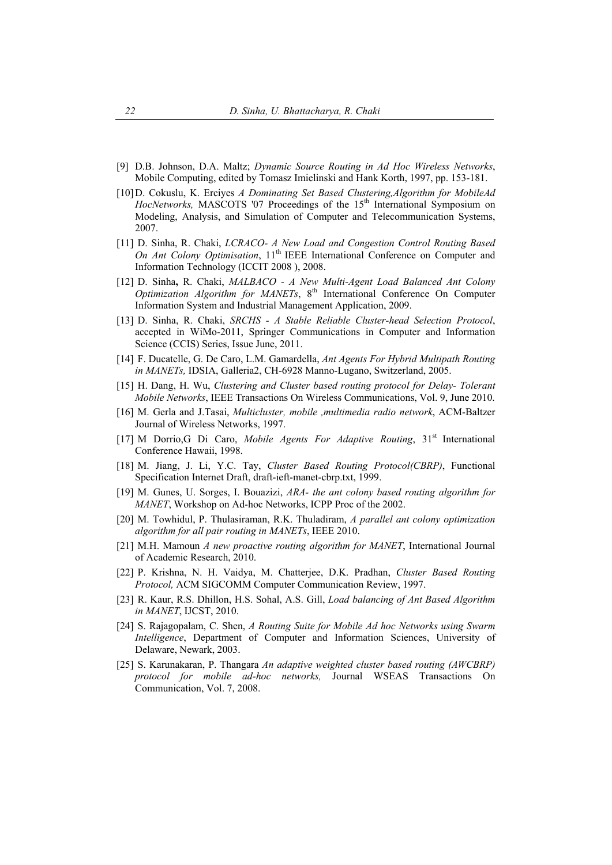- [9] D.B. Johnson, D.A. Maltz; *Dynamic Source Routing in Ad Hoc Wireless Networks*, Mobile Computing, edited by Tomasz Imielinski and Hank Korth, 1997, pp. 153-181.
- [10]D. Cokuslu, K. Erciyes *A Dominating Set Based Clustering,Algorithm for MobileAd HocNetworks,* MASCOTS '07 Proceedings of the 15<sup>th</sup> International Symposium on Modeling, Analysis, and Simulation of Computer and Telecommunication Systems, 2007.
- [11] D. Sinha, R. Chaki, *LCRACO- A New Load and Congestion Control Routing Based On Ant Colony Optimisation*, 11<sup>th</sup> IEEE International Conference on Computer and Information Technology (ICCIT 2008 ), 2008.
- [12] D. Sinha**,** R. Chaki, *MALBACO A New Multi-Agent Load Balanced Ant Colony Optimization Algorithm for MANETs*, 8<sup>th</sup> International Conference On Computer Information System and Industrial Management Application, 2009.
- [13] D. Sinha, R. Chaki, *SRCHS A Stable Reliable Cluster-head Selection Protocol*, accepted in WiMo-2011, Springer Communications in Computer and Information Science (CCIS) Series, Issue June, 2011.
- [14] F. Ducatelle, G. De Caro, L.M. Gamardella, *Ant Agents For Hybrid Multipath Routing in MANETs,* IDSIA, Galleria2, CH-6928 Manno-Lugano, Switzerland, 2005.
- [15] H. Dang, H. Wu, *Clustering and Cluster based routing protocol for Delay- Tolerant Mobile Networks*, IEEE Transactions On Wireless Communications, Vol. 9, June 2010.
- [16] M. Gerla and J.Tasai, *Multicluster, mobile ,multimedia radio network*, ACM-Baltzer Journal of Wireless Networks, 1997.
- [17] M Dorrio,G Di Caro, *Mobile Agents For Adaptive Routing*, 31st International Conference Hawaii, 1998.
- [18] M. Jiang, J. Li, Y.C. Tay, *Cluster Based Routing Protocol(CBRP)*, Functional Specification Internet Draft, draft-ieft-manet-cbrp.txt, 1999.
- [19] M. Gunes, U. Sorges, I. Bouazizi, *ARA- the ant colony based routing algorithm for MANET*, Workshop on Ad-hoc Networks, ICPP Proc of the 2002.
- [20] M. Towhidul, P. Thulasiraman, R.K. Thuladiram, *A parallel ant colony optimization algorithm for all pair routing in MANETs*, IEEE 2010.
- [21] M.H. Mamoun *A new proactive routing algorithm for MANET*, International Journal of Academic Research, 2010.
- [22] P. Krishna, N. H. Vaidya, M. Chatterjee, D.K. Pradhan, *Cluster Based Routing Protocol,* ACM SIGCOMM Computer Communication Review, 1997.
- [23] R. Kaur, R.S. Dhillon, H.S. Sohal, A.S. Gill, *Load balancing of Ant Based Algorithm in MANET*, IJCST, 2010.
- [24] S. Rajagopalam, C. Shen, *A Routing Suite for Mobile Ad hoc Networks using Swarm Intelligence*, Department of Computer and Information Sciences, University of Delaware, Newark, 2003.
- [25] S. Karunakaran, P. Thangara *An adaptive weighted cluster based routing (AWCBRP) protocol for mobile ad-hoc networks,* Journal WSEAS Transactions On Communication, Vol. 7, 2008.